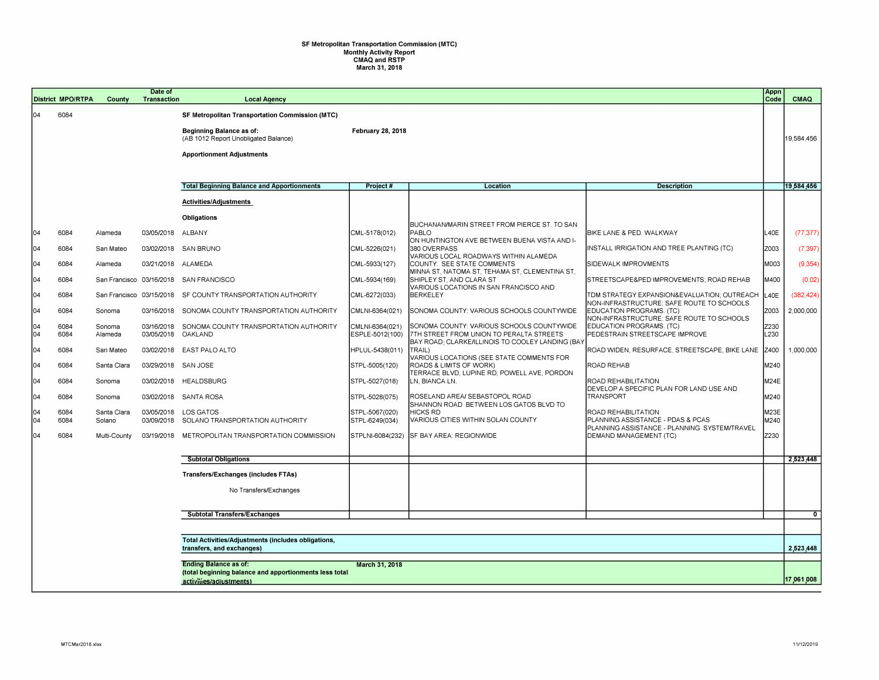## **SF Metropolitan Transportation Commission (MTC) Monthly Activity Report CMAQ and RSTP March 31, 2018**

|            | <b>District MPO/RTPA</b>                                                         | County                   | Date of<br><b>Transaction</b> | <b>Local Agency</b>                                                                                                                                                   |                                    |                                                                                                                                           |                                                                                         | Appn<br>Code | <b>CMAQ</b>    |
|------------|----------------------------------------------------------------------------------|--------------------------|-------------------------------|-----------------------------------------------------------------------------------------------------------------------------------------------------------------------|------------------------------------|-------------------------------------------------------------------------------------------------------------------------------------------|-----------------------------------------------------------------------------------------|--------------|----------------|
| 104        | 6084                                                                             |                          |                               | <b>SF Metropolitan Transportation Commission (MTC)</b><br><b>Beginning Balance as of:</b><br>(AB 1012 Report Unobligated Balance)<br><b>Apportionment Adjustments</b> | <b>February 28, 2018</b>           |                                                                                                                                           |                                                                                         |              | 19,584,456     |
|            |                                                                                  |                          |                               | <b>Total Beginning Balance and Apportionments</b>                                                                                                                     | Project#                           | <b>Location</b>                                                                                                                           | <b>Description</b>                                                                      |              | 19,584,456     |
|            |                                                                                  |                          |                               | Activities/Adjustments                                                                                                                                                |                                    |                                                                                                                                           |                                                                                         |              |                |
|            |                                                                                  |                          |                               | <b>Obligations</b>                                                                                                                                                    |                                    |                                                                                                                                           |                                                                                         |              |                |
| 104        | 6084                                                                             | Alameda                  | 03/05/2018                    | ALBANY                                                                                                                                                                | CML-5178(012)                      | BUCHANAN/MARIN STREET FROM PIERCE ST. TO SAN<br>PABLO<br>ON HUNTINGTON AVE BETWEEN BUENA VISTA AND I-                                     | BIKE LANE & PED. WALKWAY                                                                | L40E         | (77, 377)      |
| 104        | 6084                                                                             | San Mateo                |                               | 03/02/2018 SAN BRUNO                                                                                                                                                  | CML-5226(021)                      | 380 OVERPASS<br>VARIOUS LOCAL ROADWAYS WITHIN ALAMEDA                                                                                     | INSTALL IRRIGATION AND TREE PLANTING (TC)                                               | Z003         | (7, 397)       |
| 04         | 6084                                                                             | Alameda                  | 03/21/2018 ALAMEDA            |                                                                                                                                                                       | CML-5933(127)                      | COUNTY. SEE STATE COMMENTS<br>MINNA ST, NATOMA ST, TEHAMA ST, CLEMENTINA ST,                                                              | SIDEWALK IMPROVMENTS                                                                    | M003         | (9,354)        |
| 04         | 6084                                                                             | San Francisco 03/16/2018 |                               | <b>SAN FRANCISCO</b>                                                                                                                                                  | CML-5934(169)                      | SHIPLEY ST, AND CLARA ST<br>VARIOUS LOCATIONS IN SAN FRANCISCO AND                                                                        | STREETSCAPE&PED IMPROVEMENTS; ROAD REHAB                                                | M400         | (0.02)         |
| 104        | 6084                                                                             |                          |                               | San Francisco 03/15/2018 SF COUNTY TRANSPORTATION AUTHORITY                                                                                                           | CML-6272(033)                      | <b>BERKELEY</b>                                                                                                                           | TDM STRATEGY EXPANSION&EVALUATION OUTREACH<br>NON-INFRASTRUCTURE: SAFE ROUTE TO SCHOOLS | L40E         | (382, 424)     |
| 104        | 6084                                                                             | Sonoma                   |                               | 03/16/2018 SONOMA COUNTY TRANSPORTATION AUTHORITY                                                                                                                     | CMLNI-6364(021)                    | SONOMA COUNTY: VARIOUS SCHOOLS COUNTYWIDE                                                                                                 | EDUCATION PROGRAMS. (TC)<br>NON-INFRASTRUCTURE: SAFE ROUTE TO SCHOOLS                   | Z003         | 2,000,000      |
| 104<br>04  | 6084<br>6084                                                                     | Sonoma<br>Alameda        | 03/05/2018                    | 03/16/2018 SONOMA COUNTY TRANSPORTATION AUTHORITY<br>OAKLAND                                                                                                          | CMLNI-6364(021)<br>ESPLE-5012(100) | SONOMA COUNTY: VARIOUS SCHOOLS COUNTYWIDE<br>7TH STREET FROM UNION TO PERALTA STREETS<br>BAY ROAD: CLARKE/ILLINOIS TO COOLEY LANDING (BA) | EDUCATION PROGRAMS. (TC)<br>PEDESTRAIN STREETSCAPE IMPROVE                              | Z230<br>L230 |                |
| 104        | 6084                                                                             | San Mateo                |                               | 03/02/2018 EAST PALO ALTO                                                                                                                                             | HPLUL-5438(011)                    | TRAIL)<br>VARIOUS LOCATIONS (SEE STATE COMMENTS FOR                                                                                       | ROAD WIDEN, RESURFACE, STREETSCAPE, BIKE LANE                                           | Z400         | 1,000,000      |
| 104        | 6084                                                                             | Santa Clara              | 03/29/2018 SAN JOSE           |                                                                                                                                                                       | STPL-5005(120)                     | ROADS & LIMITS OF WORK)<br>TERRACE BLVD, LUPINE RD, POWELL AVE, PORDON                                                                    | ROAD REHAB                                                                              | M240         |                |
| 104        | 6084                                                                             | Sonoma                   | 03/02/2018                    | HEALDSBURG                                                                                                                                                            | STPL-5027(018)                     | LN, BIANCA LN.                                                                                                                            | ROAD REHABILITATION<br>DEVELOP A SPECIFIC PLAN FOR LAND USE AND                         | M24E         |                |
| 104        | 6084                                                                             | Sonoma                   |                               | 03/02/2018 SANTA ROSA                                                                                                                                                 | STPL-5028(075)                     | ROSELAND AREA/ SEBASTOPOL ROAD<br>SHANNON ROAD BETWEEN LOS GATOS BLVD TO                                                                  | <b>TRANSPORT</b>                                                                        | M240         |                |
| 104<br>104 | 6084<br>6084                                                                     | Santa Clara<br>Solano    | 03/09/2018                    | 03/05/2018 LOS GATOS<br>SOLANO TRANSPORTATION AUTHORITY                                                                                                               | STPL-5067(020)<br>STPL-6249(034)   | <b>HICKS RD</b><br><b>VARIOUS CITIES WITHIN SOLAN COUNTY</b>                                                                              | ROAD REHABILITATION<br>PLANNING ASSISTANCE - PDAS & PCAS                                | M23E<br>M240 |                |
| 104        | 6084                                                                             | Multi-County             | 03/19/2018                    | METROPOLITAN TRANSPORTATION COMMISSION                                                                                                                                |                                    | STPLNI-6084(232) SF BAY AREA: REGIONWIDE                                                                                                  | PLANNING ASSISTANCE - PLANNING SYSTEM/TRAVEL<br>DEMAND MANAGEMENT (TC)                  | Z230         |                |
|            |                                                                                  |                          |                               | <b>Subtotal Obligations</b>                                                                                                                                           |                                    |                                                                                                                                           |                                                                                         |              | 2,523,448      |
|            |                                                                                  |                          |                               | <b>Transfers/Exchanges (includes FTAs)</b>                                                                                                                            |                                    |                                                                                                                                           |                                                                                         |              |                |
|            |                                                                                  |                          |                               | No Transfers/Exchanges                                                                                                                                                |                                    |                                                                                                                                           |                                                                                         |              |                |
|            |                                                                                  |                          |                               | <b>Subtotal Transfers/Exchanges</b>                                                                                                                                   |                                    |                                                                                                                                           |                                                                                         |              | $\overline{0}$ |
|            |                                                                                  |                          |                               |                                                                                                                                                                       |                                    |                                                                                                                                           |                                                                                         |              |                |
|            | Total Activities/Adjustments (includes obligations,<br>transfers, and exchanges) |                          |                               |                                                                                                                                                                       |                                    |                                                                                                                                           |                                                                                         |              | 2,523,448      |
|            |                                                                                  |                          |                               | <b>Ending Balance as of:</b><br>(total beginning balance and apportionments less total<br>activities/adiustments)                                                     | March 31, 2018                     |                                                                                                                                           |                                                                                         |              | 17.061.008     |